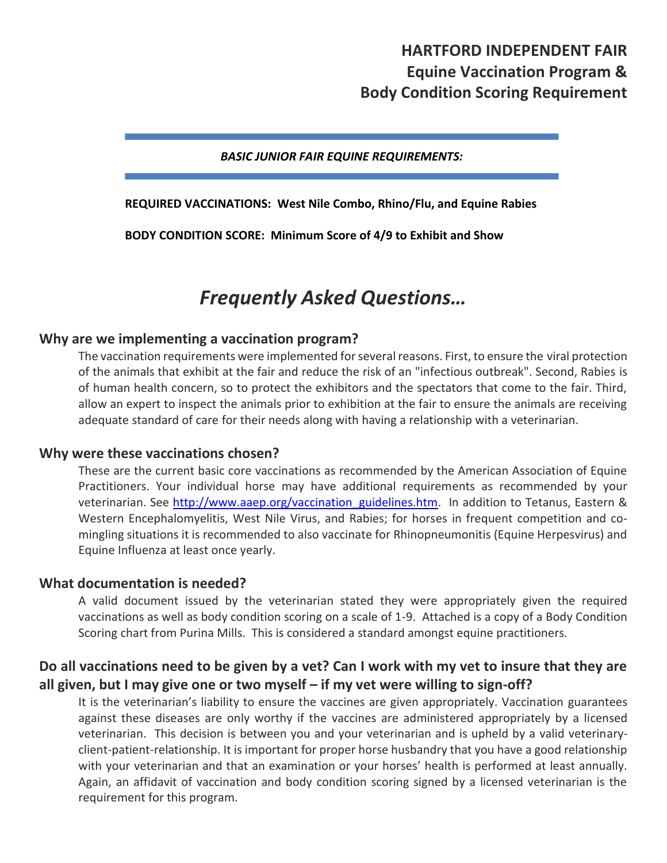## **HARTFORD INDEPENDENT FAIR Equine Vaccination Program & Body Condition Scoring Requirement**

#### *BASIC JUNIOR FAIR EQUINE REQUIREMENTS:*

#### **REQUIRED VACCINATIONS: West Nile Combo, Rhino/Flu, and Equine Rabies**

**BODY CONDITION SCORE: Minimum Score of 4/9 to Exhibit and Show**

# *Frequently Asked Questions…*

#### **Why are we implementing a vaccination program?**

The vaccination requirements were implemented for several reasons. First, to ensure the viral protection of the animals that exhibit at the fair and reduce the risk of an "infectious outbreak". Second, Rabies is of human health concern, so to protect the exhibitors and the spectators that come to the fair. Third, allow an expert to inspect the animals prior to exhibition at the fair to ensure the animals are receiving adequate standard of care for their needs along with having a relationship with a veterinarian.

#### **Why were these vaccinations chosen?**

These are the current basic core vaccinations as recommended by the American Association of Equine Practitioners. Your individual horse may have additional requirements as recommended by your veterinarian. See [http://www.aaep.org/vaccination\\_guidelines.htm.](http://www.aaep.org/vaccination_guidelines.htm) In addition to Tetanus, Eastern & Western Encephalomyelitis, West Nile Virus, and Rabies; for horses in frequent competition and comingling situations it is recommended to also vaccinate for Rhinopneumonitis (Equine Herpesvirus) and Equine Influenza at least once yearly.

#### **What documentation is needed?**

A valid document issued by the veterinarian stated they were appropriately given the required vaccinations as well as body condition scoring on a scale of 1-9. Attached is a copy of a Body Condition Scoring chart from Purina Mills. This is considered a standard amongst equine practitioners.

## **Do all vaccinations need to be given by a vet? Can I work with my vet to insure that they are all given, but I may give one or two myself – if my vet were willing to sign-off?**

It is the veterinarian's liability to ensure the vaccines are given appropriately. Vaccination guarantees against these diseases are only worthy if the vaccines are administered appropriately by a licensed veterinarian. This decision is between you and your veterinarian and is upheld by a valid veterinaryclient-patient-relationship. It is important for proper horse husbandry that you have a good relationship with your veterinarian and that an examination or your horses' health is performed at least annually. Again, an affidavit of vaccination and body condition scoring signed by a licensed veterinarian is the requirement for this program.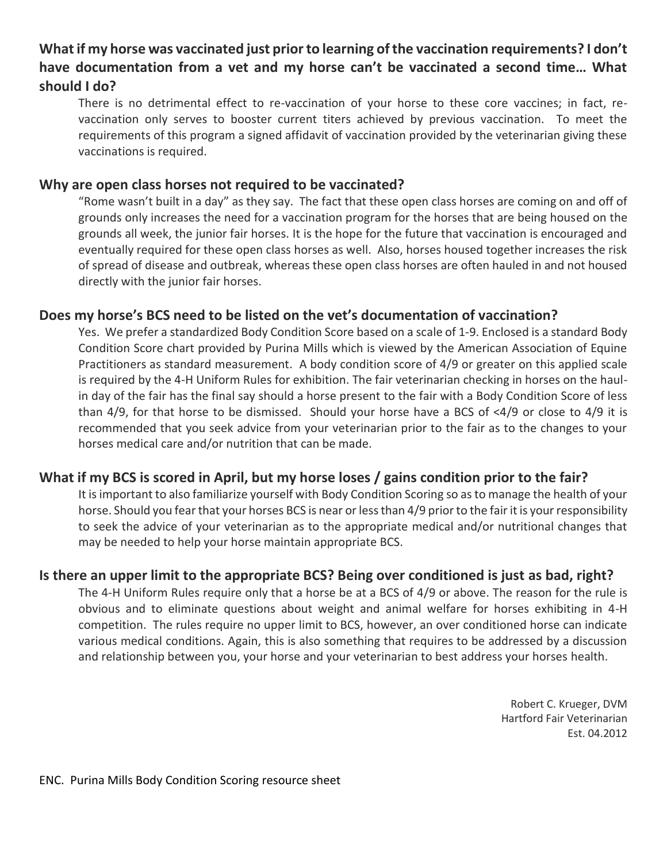## **What if my horse was vaccinated just prior to learning of the vaccination requirements? I don't have documentation from a vet and my horse can't be vaccinated a second time… What should I do?**

There is no detrimental effect to re-vaccination of your horse to these core vaccines; in fact, revaccination only serves to booster current titers achieved by previous vaccination. To meet the requirements of this program a signed affidavit of vaccination provided by the veterinarian giving these vaccinations is required.

## **Why are open class horses not required to be vaccinated?**

"Rome wasn't built in a day" as they say. The fact that these open class horses are coming on and off of grounds only increases the need for a vaccination program for the horses that are being housed on the grounds all week, the junior fair horses. It is the hope for the future that vaccination is encouraged and eventually required for these open class horses as well. Also, horses housed together increases the risk of spread of disease and outbreak, whereas these open class horses are often hauled in and not housed directly with the junior fair horses.

## **Does my horse's BCS need to be listed on the vet's documentation of vaccination?**

Yes. We prefer a standardized Body Condition Score based on a scale of 1-9. Enclosed is a standard Body Condition Score chart provided by Purina Mills which is viewed by the American Association of Equine Practitioners as standard measurement. A body condition score of 4/9 or greater on this applied scale is required by the 4-H Uniform Rules for exhibition. The fair veterinarian checking in horses on the haulin day of the fair has the final say should a horse present to the fair with a Body Condition Score of less than 4/9, for that horse to be dismissed. Should your horse have a BCS of <4/9 or close to 4/9 it is recommended that you seek advice from your veterinarian prior to the fair as to the changes to your horses medical care and/or nutrition that can be made.

## **What if my BCS is scored in April, but my horse loses / gains condition prior to the fair?**

It is important to also familiarize yourself with Body Condition Scoring so as to manage the health of your horse. Should you fear that your horses BCS is near or less than 4/9 prior to the fair it is your responsibility to seek the advice of your veterinarian as to the appropriate medical and/or nutritional changes that may be needed to help your horse maintain appropriate BCS.

## **Is there an upper limit to the appropriate BCS? Being over conditioned is just as bad, right?**

The 4-H Uniform Rules require only that a horse be at a BCS of 4/9 or above. The reason for the rule is obvious and to eliminate questions about weight and animal welfare for horses exhibiting in 4-H competition. The rules require no upper limit to BCS, however, an over conditioned horse can indicate various medical conditions. Again, this is also something that requires to be addressed by a discussion and relationship between you, your horse and your veterinarian to best address your horses health.

> Robert C. Krueger, DVM Hartford Fair Veterinarian Est. 04.2012